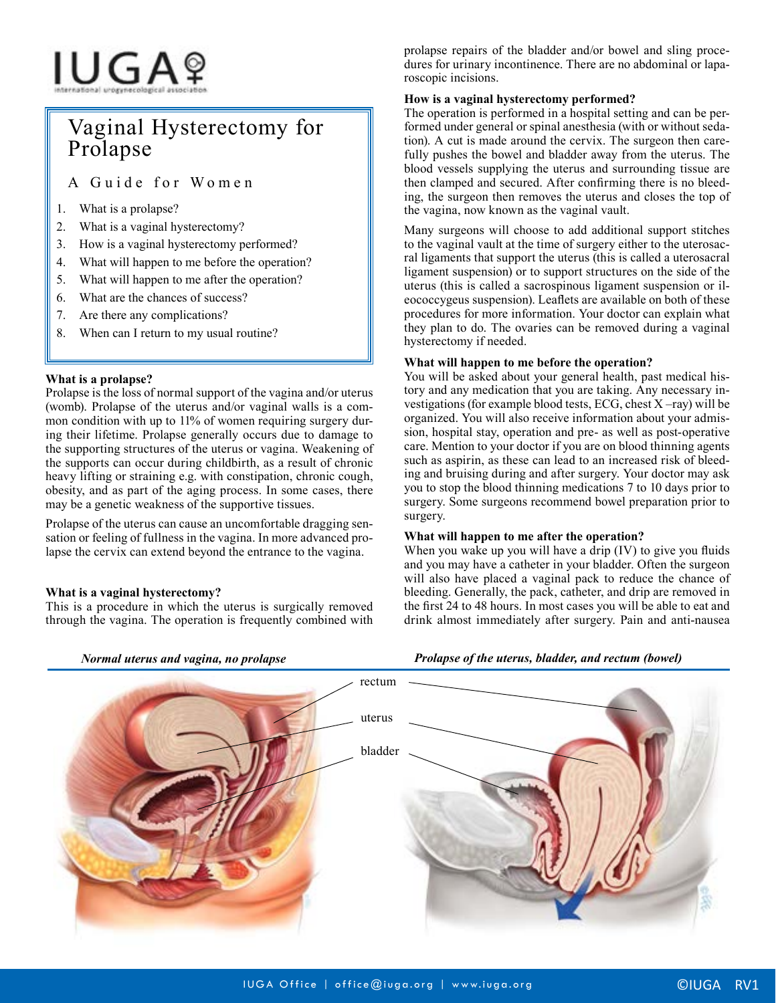# IUGAº

# Vaginal Hysterectomy for Prolapse

A Guide for Women

- 1. What is a prolapse?
- 2. What is a vaginal hysterectomy?
- 3. How is a vaginal hysterectomy performed?
- 4. What will happen to me before the operation?
- 5. What will happen to me after the operation?
- 6. What are the chances of success?
- 7. Are there any complications?
- 8. When can I return to my usual routine?

# **What is a prolapse?**

Prolapse is the loss of normal support of the vagina and/or uterus (womb). Prolapse of the uterus and/or vaginal walls is a common condition with up to 11% of women requiring surgery during their lifetime. Prolapse generally occurs due to damage to the supporting structures of the uterus or vagina. Weakening of the supports can occur during childbirth, as a result of chronic heavy lifting or straining e.g. with constipation, chronic cough, obesity, and as part of the aging process. In some cases, there may be a genetic weakness of the supportive tissues.

Prolapse of the uterus can cause an uncomfortable dragging sensation or feeling of fullness in the vagina. In more advanced prolapse the cervix can extend beyond the entrance to the vagina.

# **What is a vaginal hysterectomy?**

This is a procedure in which the uterus is surgically removed through the vagina. The operation is frequently combined with prolapse repairs of the bladder and/or bowel and sling procedures for urinary incontinence. There are no abdominal or laparoscopic incisions.

### **How is a vaginal hysterectomy performed?**

The operation is performed in a hospital setting and can be performed under general or spinal anesthesia (with or without sedation). A cut is made around the cervix. The surgeon then carefully pushes the bowel and bladder away from the uterus. The blood vessels supplying the uterus and surrounding tissue are then clamped and secured. After confirming there is no bleeding, the surgeon then removes the uterus and closes the top of the vagina, now known as the vaginal vault.

Many surgeons will choose to add additional support stitches to the vaginal vault at the time of surgery either to the uterosacral ligaments that support the uterus (this is called a uterosacral ligament suspension) or to support structures on the side of the uterus (this is called a sacrospinous ligament suspension or ileococcygeus suspension). Leaflets are available on both of these procedures for more information. Your doctor can explain what they plan to do. The ovaries can be removed during a vaginal hysterectomy if needed.

# **What will happen to me before the operation?**

You will be asked about your general health, past medical history and any medication that you are taking. Any necessary investigations (for example blood tests, ECG, chest X –ray) will be organized. You will also receive information about your admission, hospital stay, operation and pre- as well as post-operative care. Mention to your doctor if you are on blood thinning agents such as aspirin, as these can lead to an increased risk of bleeding and bruising during and after surgery. Your doctor may ask you to stop the blood thinning medications 7 to 10 days prior to surgery. Some surgeons recommend bowel preparation prior to surgery.

#### **What will happen to me after the operation?**

When you wake up you will have a drip (IV) to give you fluids and you may have a catheter in your bladder. Often the surgeon will also have placed a vaginal pack to reduce the chance of bleeding. Generally, the pack, catheter, and drip are removed in the first 24 to 48 hours. In most cases you will be able to eat and drink almost immediately after surgery. Pain and anti-nausea

*Prolapse of the uterus, bladder, and rectum (bowel)*



*Normal uterus and vagina, no prolapse*